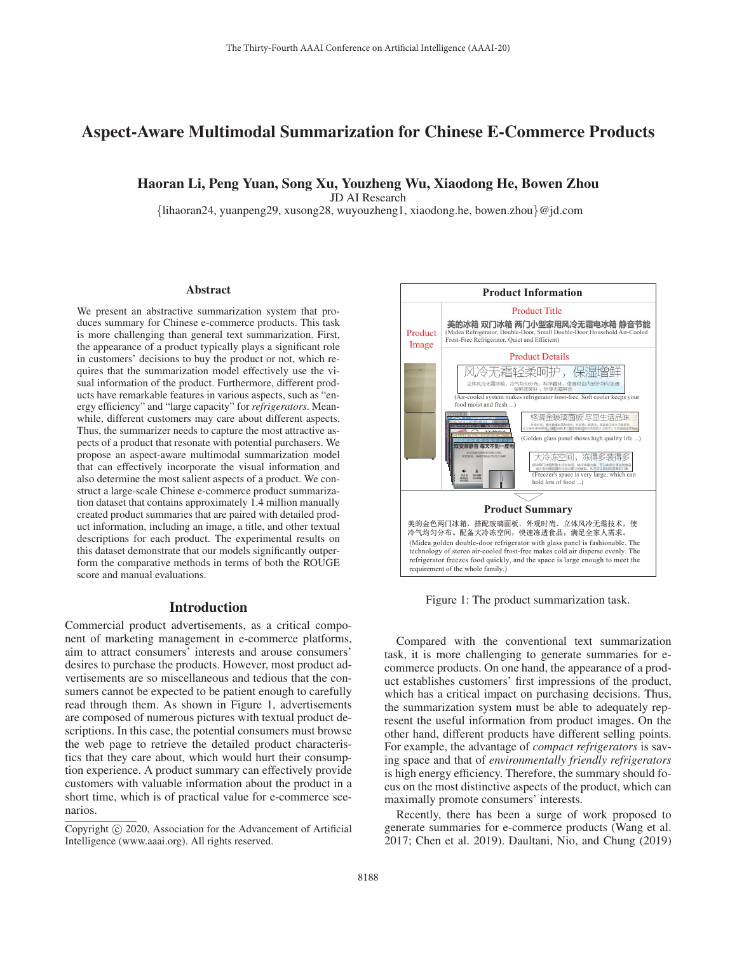# Aspect-Aware Multimodal Summarization for Chinese E-Commerce Products

### Haoran Li, Peng Yuan, Song Xu, Youzheng Wu, Xiaodong He, Bowen Zhou

JD AI Research

{lihaoran24, yuanpeng29, xusong28, wuyouzheng1, xiaodong.he, bowen.zhou}@jd.com

#### **Abstract**

We present an abstractive summarization system that produces summary for Chinese e-commerce products. This task is more challenging than general text summarization. First, the appearance of a product typically plays a significant role in customers' decisions to buy the product or not, which requires that the summarization model effectively use the visual information of the product. Furthermore, different products have remarkable features in various aspects, such as "energy efficiency" and "large capacity" for *refrigerators*. Meanwhile, different customers may care about different aspects. Thus, the summarizer needs to capture the most attractive aspects of a product that resonate with potential purchasers. We propose an aspect-aware multimodal summarization model that can effectively incorporate the visual information and also determine the most salient aspects of a product. We construct a large-scale Chinese e-commerce product summarization dataset that contains approximately 1.4 million manually created product summaries that are paired with detailed product information, including an image, a title, and other textual descriptions for each product. The experimental results on this dataset demonstrate that our models significantly outperform the comparative methods in terms of both the ROUGE score and manual evaluations.

### Introduction

Commercial product advertisements, as a critical component of marketing management in e-commerce platforms, aim to attract consumers' interests and arouse consumers' desires to purchase the products. However, most product advertisements are so miscellaneous and tedious that the consumers cannot be expected to be patient enough to carefully read through them. As shown in Figure 1, advertisements are composed of numerous pictures with textual product descriptions. In this case, the potential consumers must browse the web page to retrieve the detailed product characteristics that they care about, which would hurt their consumption experience. A product summary can effectively provide customers with valuable information about the product in a short time, which is of practical value for e-commerce scenarios.



Figure 1: The product summarization task.

Compared with the conventional text summarization task, it is more challenging to generate summaries for ecommerce products. On one hand, the appearance of a product establishes customers' first impressions of the product, which has a critical impact on purchasing decisions. Thus, the summarization system must be able to adequately represent the useful information from product images. On the other hand, different products have different selling points. For example, the advantage of *compact refrigerators* is saving space and that of *environmentally friendly refrigerators* is high energy efficiency. Therefore, the summary should focus on the most distinctive aspects of the product, which can maximally promote consumers' interests.

Recently, there has been a surge of work proposed to generate summaries for e-commerce products (Wang et al. 2017; Chen et al. 2019). Daultani, Nio, and Chung (2019)

Copyright  $\odot$  2020, Association for the Advancement of Artificial Intelligence (www.aaai.org). All rights reserved.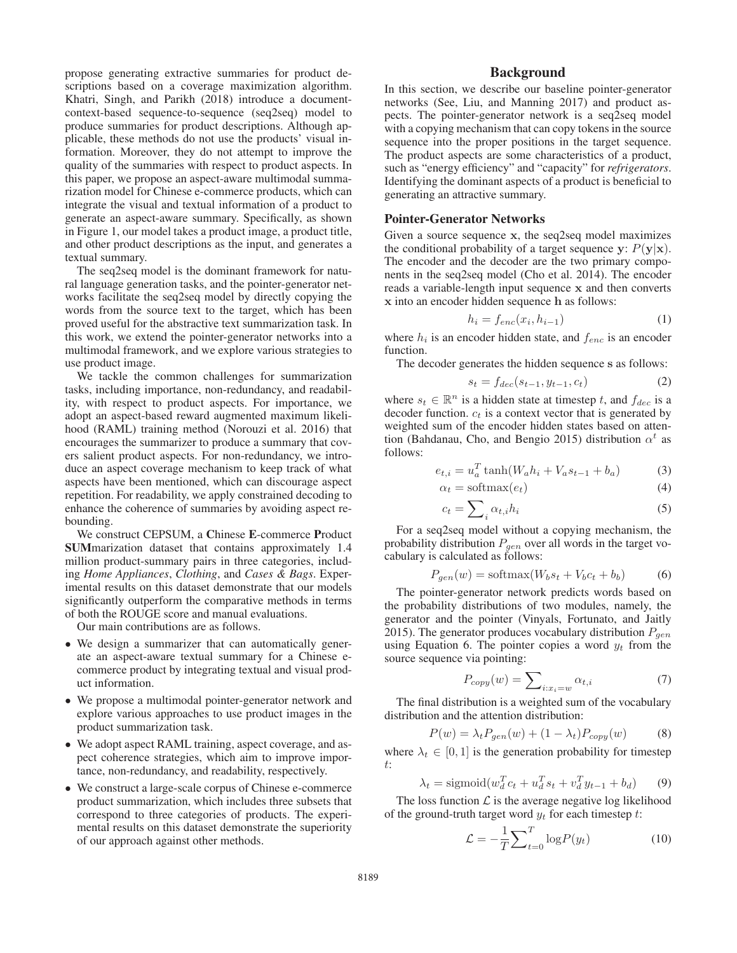propose generating extractive summaries for product descriptions based on a coverage maximization algorithm. Khatri, Singh, and Parikh (2018) introduce a documentcontext-based sequence-to-sequence (seq2seq) model to produce summaries for product descriptions. Although applicable, these methods do not use the products' visual information. Moreover, they do not attempt to improve the quality of the summaries with respect to product aspects. In this paper, we propose an aspect-aware multimodal summarization model for Chinese e-commerce products, which can integrate the visual and textual information of a product to generate an aspect-aware summary. Specifically, as shown in Figure 1, our model takes a product image, a product title, and other product descriptions as the input, and generates a textual summary.

The seq2seq model is the dominant framework for natural language generation tasks, and the pointer-generator networks facilitate the seq2seq model by directly copying the words from the source text to the target, which has been proved useful for the abstractive text summarization task. In this work, we extend the pointer-generator networks into a multimodal framework, and we explore various strategies to use product image.

We tackle the common challenges for summarization tasks, including importance, non-redundancy, and readability, with respect to product aspects. For importance, we adopt an aspect-based reward augmented maximum likelihood (RAML) training method (Norouzi et al. 2016) that encourages the summarizer to produce a summary that covers salient product aspects. For non-redundancy, we introduce an aspect coverage mechanism to keep track of what aspects have been mentioned, which can discourage aspect repetition. For readability, we apply constrained decoding to enhance the coherence of summaries by avoiding aspect rebounding.

We construct CEPSUM, a Chinese E-commerce Product SUMmarization dataset that contains approximately 1.4 million product-summary pairs in three categories, including *Home Appliances*, *Clothing*, and *Cases & Bags*. Experimental results on this dataset demonstrate that our models significantly outperform the comparative methods in terms of both the ROUGE score and manual evaluations.

Our main contributions are as follows.

- We design a summarizer that can automatically generate an aspect-aware textual summary for a Chinese ecommerce product by integrating textual and visual product information.
- We propose a multimodal pointer-generator network and explore various approaches to use product images in the product summarization task.
- We adopt aspect RAML training, aspect coverage, and aspect coherence strategies, which aim to improve importance, non-redundancy, and readability, respectively.
- We construct a large-scale corpus of Chinese e-commerce product summarization, which includes three subsets that correspond to three categories of products. The experimental results on this dataset demonstrate the superiority of our approach against other methods.

# Background

In this section, we describe our baseline pointer-generator networks (See, Liu, and Manning 2017) and product aspects. The pointer-generator network is a seq2seq model with a copying mechanism that can copy tokens in the source sequence into the proper positions in the target sequence. The product aspects are some characteristics of a product, such as "energy efficiency" and "capacity" for *refrigerators*. Identifying the dominant aspects of a product is beneficial to generating an attractive summary.

### Pointer-Generator Networks

Given a source sequence **x**, the seq2seq model maximizes the conditional probability of a target sequence  $\mathbf{y}$ :  $P(\mathbf{y}|\mathbf{x})$ . The encoder and the decoder are the two primary components in the seq2seq model (Cho et al. 2014). The encoder reads a variable-length input sequence **x** and then converts **x** into an encoder hidden sequence **h** as follows:

$$
h_i = f_{enc}(x_i, h_{i-1})
$$
\n(1)

where  $h_i$  is an encoder hidden state, and  $f_{enc}$  is an encoder function.

The decoder generates the hidden sequence **s** as follows:

$$
s_t = f_{dec}(s_{t-1}, y_{t-1}, c_t)
$$
 (2)

where  $s_t \in \mathbb{R}^n$  is a hidden state at timestep t, and  $f_{dec}$  is a decoder function.  $c_t$  is a context vector that is generated by weighted sum of the encoder hidden states based on attention (Bahdanau, Cho, and Bengio 2015) distribution  $\alpha^t$  as follows:

$$
e_{t,i} = u_a^T \tanh(W_a h_i + V_a s_{t-1} + b_a)
$$
 (3)

$$
\alpha_t = \text{softmax}(e_t) \tag{4}
$$

$$
c_t = \sum_i \alpha_{t,i} h_i \tag{5}
$$

For a seq2seq model without a copying mechanism, the probability distribution  $P_{gen}$  over all words in the target vocabulary is calculated as follows:

$$
P_{gen}(w) = \text{softmax}(W_b s_t + V_b c_t + b_b)
$$
 (6)

The pointer-generator network predicts words based on the probability distributions of two modules, namely, the generator and the pointer (Vinyals, Fortunato, and Jaitly 2015). The generator produces vocabulary distribution  $P_{gen}$ using Equation 6. The pointer copies a word  $y_t$  from the source sequence via pointing:

$$
P_{copy}(w) = \sum_{i:x_i=w} \alpha_{t,i} \tag{7}
$$

The final distribution is a weighted sum of the vocabulary distribution and the attention distribution:

$$
P(w) = \lambda_t P_{gen}(w) + (1 - \lambda_t) P_{copy}(w)
$$
 (8)

where  $\lambda_t \in [0, 1]$  is the generation probability for timestep t:

$$
\lambda_t = \text{sigmoid}(w_d^T c_t + u_d^T s_t + v_d^T y_{t-1} + b_d)
$$
(9)

The loss function  $\mathcal L$  is the average negative log likelihood of the ground-truth target word  $y_t$  for each timestep t:

$$
\mathcal{L} = -\frac{1}{T} \sum_{t=0}^{T} \log P(y_t) \tag{10}
$$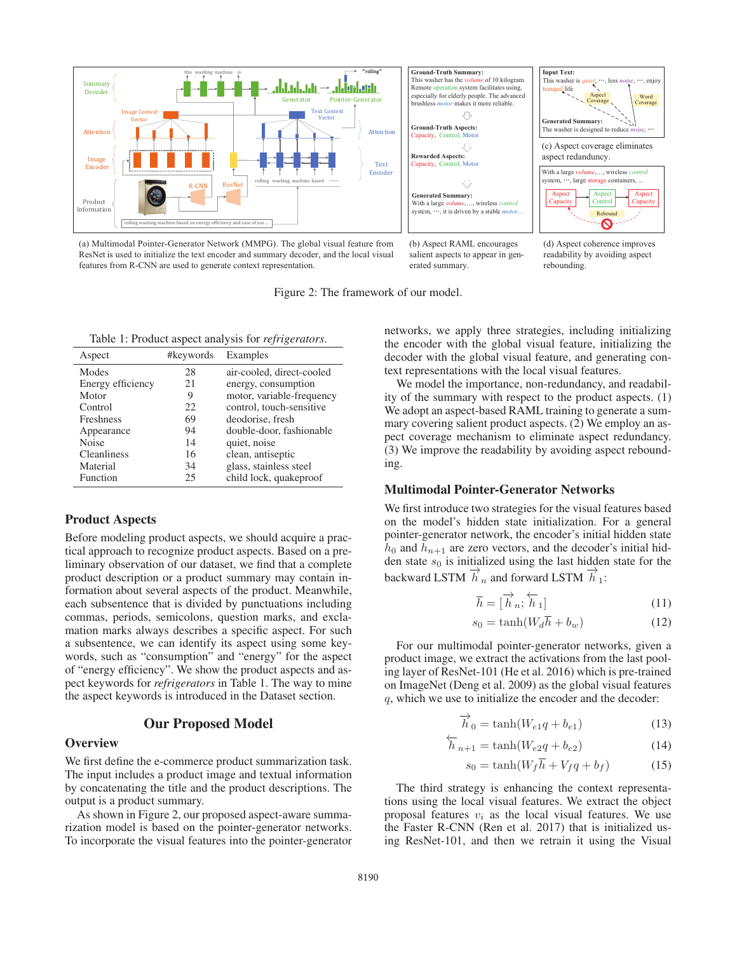

Figure 2: The framework of our model.

(a) Multimodal Pointer-Generator Network (MMPG). The global visual feature from ResNet is used to initialize the text encoder and summary decoder, and the local visual features from R-CNN are used to generate context representation.

(b) Aspect RAML encourages salient aspects to appear in generated summary.

(d) Aspect coherence improves readability by avoiding aspect rebounding.

Table 1: Product aspect analysis for *refrigerators*.

| Aspect             | #keywords | Examples                  |
|--------------------|-----------|---------------------------|
| Modes              | 28        | air-cooled, direct-cooled |
| Energy efficiency  | 21        | energy, consumption       |
| Motor              | 9         | motor, variable-frequency |
| Control            | 22        | control, touch-sensitive  |
| <b>Freshness</b>   | 69        | deodorise, fresh          |
| Appearance         | 94        | double-door, fashionable  |
| <b>Noise</b>       | 14        | quiet, noise              |
| <b>Cleanliness</b> | 16        | clean, antiseptic         |
| Material           | 34        | glass, stainless steel    |
| Function           | 25        | child lock, quakeproof    |

### Product Aspects

Before modeling product aspects, we should acquire a practical approach to recognize product aspects. Based on a preliminary observation of our dataset, we find that a complete product description or a product summary may contain information about several aspects of the product. Meanwhile, each subsentence that is divided by punctuations including commas, periods, semicolons, question marks, and exclamation marks always describes a specific aspect. For such a subsentence, we can identify its aspect using some keywords, such as "consumption" and "energy" for the aspect of "energy efficiency". We show the product aspects and aspect keywords for *refrigerators* in Table 1. The way to mine the aspect keywords is introduced in the Dataset section.

### Our Proposed Model

### **Overview**

We first define the e-commerce product summarization task. The input includes a product image and textual information by concatenating the title and the product descriptions. The output is a product summary.

As shown in Figure 2, our proposed aspect-aware summarization model is based on the pointer-generator networks. To incorporate the visual features into the pointer-generator networks, we apply three strategies, including initializing the encoder with the global visual feature, initializing the decoder with the global visual feature, and generating context representations with the local visual features.

We model the importance, non-redundancy, and readability of the summary with respect to the product aspects. (1) We adopt an aspect-based RAML training to generate a summary covering salient product aspects. (2) We employ an aspect coverage mechanism to eliminate aspect redundancy. (3) We improve the readability by avoiding aspect rebounding.

# Multimodal Pointer-Generator Networks

We first introduce two strategies for the visual features based on the model's hidden state initialization. For a general pointer-generator network, the encoder's initial hidden state  $h_0$  and  $h_{n+1}$  are zero vectors, and the decoder's initial hidden state  $s_0$  is initialized using the last hidden state for the backward LSTM  $\overrightarrow{h}$  n and forward LSTM  $\overrightarrow{h}$  1:

$$
\overline{h} = [\overrightarrow{h}_n; \overleftarrow{h}_1] \tag{11}
$$

$$
s_0 = \tanh(W_d \overline{h} + b_w) \tag{12}
$$

For our multimodal pointer-generator networks, given a product image, we extract the activations from the last pooling layer of ResNet-101 (He et al. 2016) which is pre-trained on ImageNet (Deng et al. 2009) as the global visual features q, which we use to initialize the encoder and the decoder:

$$
\overrightarrow{h}_0 = \tanh(W_{e1}q + b_{e1})
$$
\n(13)

$$
\overleftarrow{h}_{n+1} = \tanh(W_{e2}q + b_{e2})
$$
\n(14)

$$
s_0 = \tanh(W_f \overline{h} + V_f q + b_f) \tag{15}
$$

The third strategy is enhancing the context representations using the local visual features. We extract the object proposal features  $v_i$  as the local visual features. We use the Faster R-CNN (Ren et al. 2017) that is initialized using ResNet-101, and then we retrain it using the Visual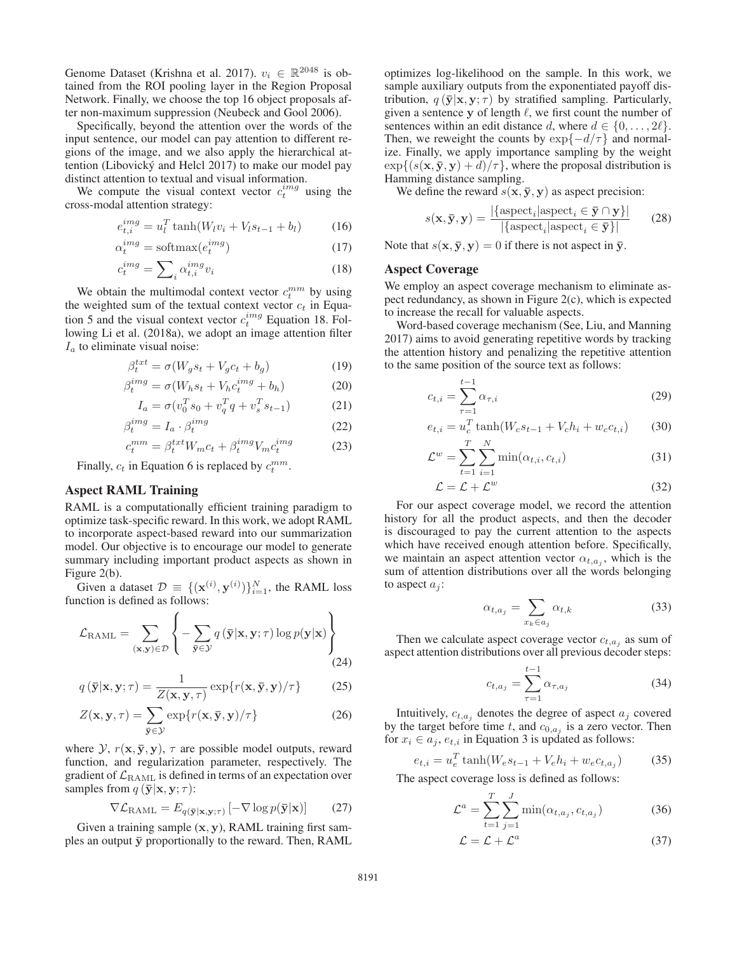Genome Dataset (Krishna et al. 2017).  $v_i \in \mathbb{R}^{2048}$  is obtained from the ROI pooling layer in the Region Proposal Network. Finally, we choose the top 16 object proposals after non-maximum suppression (Neubeck and Gool 2006).

Specifically, beyond the attention over the words of the input sentence, our model can pay attention to different regions of the image, and we also apply the hierarchical attention (Libovický and Helcl 2017) to make our model pay distinct attention to textual and visual information.

We compute the visual context vector  $c_t^{img}$  using the cross-modal attention strategy:

$$
e_{t,i}^{img} = u_l^T \tanh(W_l v_i + V_l s_{t-1} + b_l)
$$
 (16)

$$
\alpha_t^{img} = \text{softmax}(e_t^{img})\tag{17}
$$

$$
c_t^{img} = \sum_i \alpha_{t,i}^{img} v_i \tag{18}
$$

We obtain the multimodal context vector  $c_t^{mm}$  by using the weighted sum of the textual context vector  $c_t$  in Equation 5 and the visual context vector  $c_t^{img}$  Equation 18. Following Li et al. (2018a), we adopt an image attention filter  $I_a$  to eliminate visual noise:

$$
\beta_t^{txt} = \sigma(W_g s_t + V_g c_t + b_g) \tag{19}
$$

$$
\beta_t^{img} = \sigma(W_h s_t + V_h c_t^{img} + b_h)
$$
 (20)

$$
I_a = \sigma(v_0^T s_0 + v_q^T q + v_s^T s_{t-1})
$$
 (21)

$$
\beta_t^{img} = I_a \cdot \beta_t^{img} \tag{22}
$$

$$
c_t^{mm} = \beta_t^{txt}W_m c_t + \beta_t^{img}V_m c_t^{img}
$$
 (23)

Finally,  $c_t$  in Equation 6 is replaced by  $c_t^{mm}$ .

# Aspect RAML Training

RAML is a computationally efficient training paradigm to optimize task-specific reward. In this work, we adopt RAML to incorporate aspect-based reward into our summarization model. Our objective is to encourage our model to generate summary including important product aspects as shown in Figure 2(b).

Given a dataset  $\mathcal{D} \equiv \{(\mathbf{x}^{(i)}, \mathbf{y}^{(i)})\}_{i=1}^N$ , the RAML loss function is defined as follows:

$$
\mathcal{L}_{\text{RAML}} = \sum_{(\mathbf{x}, \mathbf{y}) \in \mathcal{D}} \left\{ -\sum_{\bar{\mathbf{y}} \in \mathcal{Y}} q\left(\bar{\mathbf{y}} | \mathbf{x}, \mathbf{y}; \tau\right) \log p(\mathbf{y} | \mathbf{x}) \right\} \tag{24}
$$

$$
q(\bar{\mathbf{y}}|\mathbf{x}, \mathbf{y}; \tau) = \frac{1}{Z(\mathbf{x}, \mathbf{y}, \tau)} \exp\{r(\mathbf{x}, \bar{\mathbf{y}}, \mathbf{y})/\tau\}
$$
(25)

$$
Z(\mathbf{x}, \mathbf{y}, \tau) = \sum_{\bar{\mathbf{y}} \in \mathcal{Y}} \exp\{r(\mathbf{x}, \bar{\mathbf{y}}, \mathbf{y})/\tau\}
$$
(26)

where  $\mathcal{Y}, r(\mathbf{x}, \bar{\mathbf{y}}, \mathbf{y}), \tau$  are possible model outputs, reward function, and regularization parameter, respectively. The gradient of  $\mathcal{L}_{\text{RAML}}$  is defined in terms of an expectation over samples from  $q(\bar{y}|\mathbf{x}, \mathbf{y}; \tau)$ :

$$
\nabla \mathcal{L}_{\text{RAML}} = E_{q(\bar{\mathbf{y}}|\mathbf{x}, \mathbf{y};\tau)} \left[ -\nabla \log p(\bar{\mathbf{y}}|\mathbf{x}) \right]
$$
(27)

Given a training sample (**x**, **y**), RAML training first samples an output  $\bar{y}$  proportionally to the reward. Then, RAML optimizes log-likelihood on the sample. In this work, we sample auxiliary outputs from the exponentiated payoff distribution,  $q(\bar{y}|\mathbf{x}, \mathbf{y}; \tau)$  by stratified sampling. Particularly, given a sentence y of length  $\ell$ , we first count the number of sentences within an edit distance d, where  $d \in \{0, \ldots, 2\ell\}.$ Then, we reweight the counts by  $\exp\{-d/\tau\}$  and normalize. Finally, we apply importance sampling by the weight  $\exp\{(s(\mathbf{x}, \bar{\mathbf{y}}, \mathbf{y}) + d)/\tau\}$ , where the proposal distribution is Hamming distance sampling.

We define the reward  $s(\mathbf{x}, \bar{\mathbf{y}}, \mathbf{y})$  as aspect precision:

$$
s(\mathbf{x}, \overline{\mathbf{y}}, \mathbf{y}) = \frac{|\{\text{aspect}_i | \text{aspect}_i \in \overline{\mathbf{y}} \cap \mathbf{y}\}|}{|\{\text{aspect}_i | \text{aspect}_i \in \overline{\mathbf{y}}\}|}
$$
(28)

Note that  $s(\mathbf{x}, \bar{\mathbf{y}}, \mathbf{y}) = 0$  if there is not aspect in  $\bar{\mathbf{y}}$ .

### Aspect Coverage

We employ an aspect coverage mechanism to eliminate aspect redundancy, as shown in Figure 2(c), which is expected to increase the recall for valuable aspects.

Word-based coverage mechanism (See, Liu, and Manning 2017) aims to avoid generating repetitive words by tracking the attention history and penalizing the repetitive attention to the same position of the source text as follows:

$$
c_{t,i} = \sum_{\tau=1}^{t-1} \alpha_{\tau,i}
$$
 (29)

$$
e_{t,i} = u_c^T \tanh(W_c s_{t-1} + V_c h_i + w_c c_{t,i})
$$
 (30)

$$
\mathcal{L}^w = \sum_{t=1}^{N} \sum_{i=1}^{N} \min(\alpha_{t,i}, c_{t,i})
$$
 (31)

$$
\mathcal{L} = \mathcal{L} + \mathcal{L}^w \tag{32}
$$

For our aspect coverage model, we record the attention history for all the product aspects, and then the decoder is discouraged to pay the current attention to the aspects which have received enough attention before. Specifically, we maintain an aspect attention vector  $\alpha_{t,a_i}$ , which is the sum of attention distributions over all the words belonging to aspect  $a_i$ :

$$
\alpha_{t,a_j} = \sum_{x_k \in a_j} \alpha_{t,k} \tag{33}
$$

Then we calculate aspect coverage vector  $c_{t,a_j}$  as sum of aspect attention distributions over all previous decoder steps:

$$
c_{t,a_j} = \sum_{\tau=1}^{t-1} \alpha_{\tau,a_j}
$$
 (34)

Intuitively,  $c_{t,a_j}$  denotes the degree of aspect  $a_j$  covered by the target before time t, and  $c_{0,a_j}$  is a zero vector. Then for  $x_i \in a_j$ ,  $e_{t,i}$  in Equation 3 is updated as follows:

$$
e_{t,i} = u_e^T \tanh(W_e s_{t-1} + V_e h_i + w_e c_{t,a_j})
$$
 (35)

The aspect coverage loss is defined as follows:

$$
\mathcal{L}^a = \sum_{t=1}^T \sum_{j=1}^J \min(\alpha_{t,a_j}, c_{t,a_j})
$$
 (36)

$$
\mathcal{L} = \mathcal{L} + \mathcal{L}^a \tag{37}
$$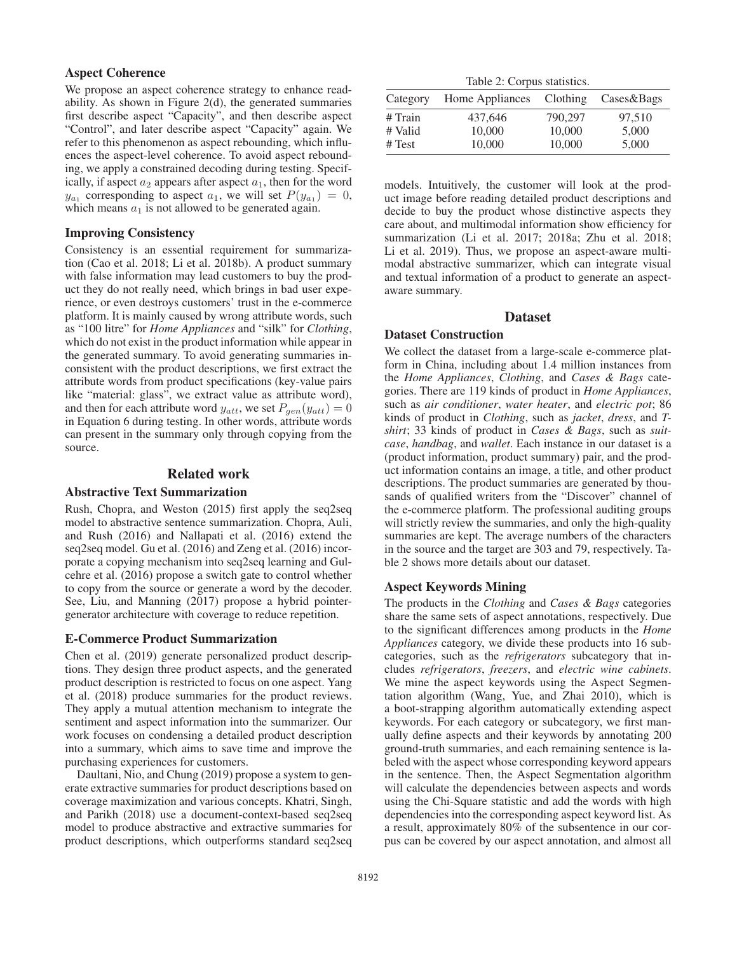### Aspect Coherence

We propose an aspect coherence strategy to enhance readability. As shown in Figure 2(d), the generated summaries first describe aspect "Capacity", and then describe aspect "Control", and later describe aspect "Capacity" again. We refer to this phenomenon as aspect rebounding, which influences the aspect-level coherence. To avoid aspect rebounding, we apply a constrained decoding during testing. Specifically, if aspect  $a_2$  appears after aspect  $a_1$ , then for the word  $y_{a_1}$  corresponding to aspect  $a_1$ , we will set  $P(y_{a_1})=0$ , which means  $a_1$  is not allowed to be generated again.

#### Improving Consistency

Consistency is an essential requirement for summarization (Cao et al. 2018; Li et al. 2018b). A product summary with false information may lead customers to buy the product they do not really need, which brings in bad user experience, or even destroys customers' trust in the e-commerce platform. It is mainly caused by wrong attribute words, such as "100 litre" for *Home Appliances* and "silk" for *Clothing*, which do not exist in the product information while appear in the generated summary. To avoid generating summaries inconsistent with the product descriptions, we first extract the attribute words from product specifications (key-value pairs like "material: glass", we extract value as attribute word), and then for each attribute word  $y_{att}$ , we set  $P_{gen}(y_{att})=0$ in Equation 6 during testing. In other words, attribute words can present in the summary only through copying from the source.

#### Related work

#### Abstractive Text Summarization

Rush, Chopra, and Weston (2015) first apply the seq2seq model to abstractive sentence summarization. Chopra, Auli, and Rush (2016) and Nallapati et al. (2016) extend the seq2seq model. Gu et al. (2016) and Zeng et al. (2016) incorporate a copying mechanism into seq2seq learning and Gulcehre et al. (2016) propose a switch gate to control whether to copy from the source or generate a word by the decoder. See, Liu, and Manning (2017) propose a hybrid pointergenerator architecture with coverage to reduce repetition.

### E-Commerce Product Summarization

Chen et al. (2019) generate personalized product descriptions. They design three product aspects, and the generated product description is restricted to focus on one aspect. Yang et al. (2018) produce summaries for the product reviews. They apply a mutual attention mechanism to integrate the sentiment and aspect information into the summarizer. Our work focuses on condensing a detailed product description into a summary, which aims to save time and improve the purchasing experiences for customers.

Daultani, Nio, and Chung (2019) propose a system to generate extractive summaries for product descriptions based on coverage maximization and various concepts. Khatri, Singh, and Parikh (2018) use a document-context-based seq2seq model to produce abstractive and extractive summaries for product descriptions, which outperforms standard seq2seq

Table 2: Corpus statistics.

| Category | Home Appliances | Clothing | Cases&Bags |
|----------|-----------------|----------|------------|
| # Train  | 437.646         | 790,297  | 97.510     |
| # Valid  | 10,000          | 10,000   | 5,000      |
| # Test   | 10,000          | 10,000   | 5,000      |

models. Intuitively, the customer will look at the product image before reading detailed product descriptions and decide to buy the product whose distinctive aspects they care about, and multimodal information show efficiency for summarization (Li et al. 2017; 2018a; Zhu et al. 2018; Li et al. 2019). Thus, we propose an aspect-aware multimodal abstractive summarizer, which can integrate visual and textual information of a product to generate an aspectaware summary.

### Dataset

#### Dataset Construction

We collect the dataset from a large-scale e-commerce platform in China, including about 1.4 million instances from the *Home Appliances*, *Clothing*, and *Cases & Bags* categories. There are 119 kinds of product in *Home Appliances*, such as *air conditioner*, *water heater*, and *electric pot*; 86 kinds of product in *Clothing*, such as *jacket*, *dress*, and *Tshirt*; 33 kinds of product in *Cases & Bags*, such as *suitcase*, *handbag*, and *wallet*. Each instance in our dataset is a (product information, product summary) pair, and the product information contains an image, a title, and other product descriptions. The product summaries are generated by thousands of qualified writers from the "Discover" channel of the e-commerce platform. The professional auditing groups will strictly review the summaries, and only the high-quality summaries are kept. The average numbers of the characters in the source and the target are 303 and 79, respectively. Table 2 shows more details about our dataset.

### Aspect Keywords Mining

The products in the *Clothing* and *Cases & Bags* categories share the same sets of aspect annotations, respectively. Due to the significant differences among products in the *Home Appliances* category, we divide these products into 16 subcategories, such as the *refrigerators* subcategory that includes *refrigerators*, *freezers*, and *electric wine cabinets*. We mine the aspect keywords using the Aspect Segmentation algorithm (Wang, Yue, and Zhai 2010), which is a boot-strapping algorithm automatically extending aspect keywords. For each category or subcategory, we first manually define aspects and their keywords by annotating 200 ground-truth summaries, and each remaining sentence is labeled with the aspect whose corresponding keyword appears in the sentence. Then, the Aspect Segmentation algorithm will calculate the dependencies between aspects and words using the Chi-Square statistic and add the words with high dependencies into the corresponding aspect keyword list. As a result, approximately 80% of the subsentence in our corpus can be covered by our aspect annotation, and almost all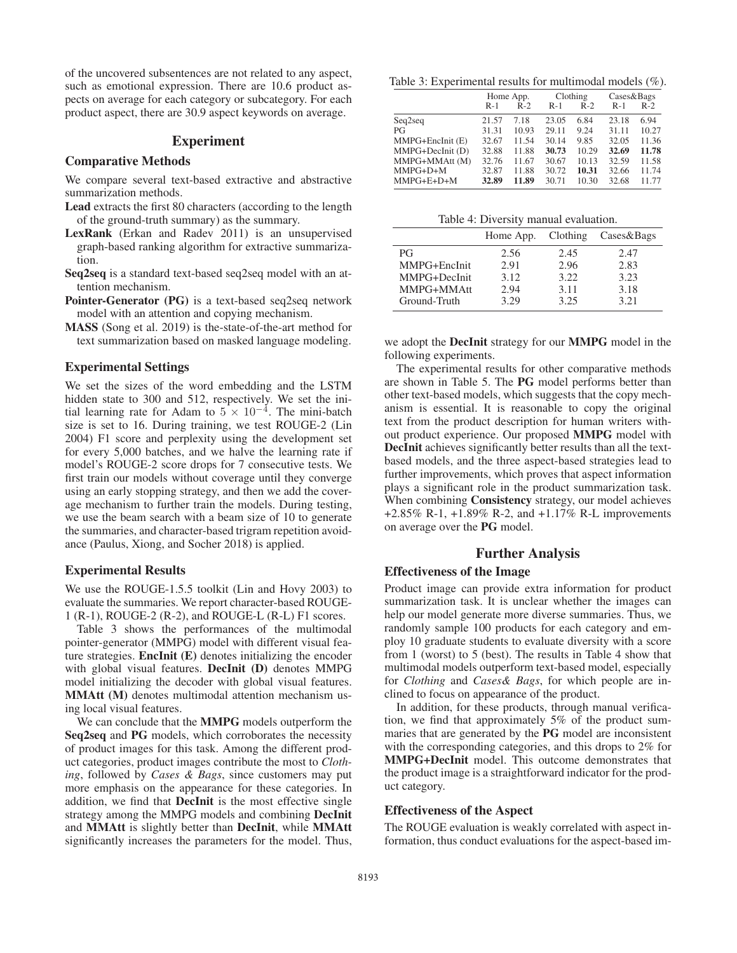of the uncovered subsentences are not related to any aspect, such as emotional expression. There are 10.6 product aspects on average for each category or subcategory. For each product aspect, there are 30.9 aspect keywords on average.

# Experiment

#### Comparative Methods

We compare several text-based extractive and abstractive summarization methods.

- Lead extracts the first 80 characters (according to the length of the ground-truth summary) as the summary.
- LexRank (Erkan and Radev 2011) is an unsupervised graph-based ranking algorithm for extractive summarization.
- Seq2seq is a standard text-based seq2seq model with an attention mechanism.
- Pointer-Generator (PG) is a text-based seq2seq network model with an attention and copying mechanism.
- MASS (Song et al. 2019) is the-state-of-the-art method for text summarization based on masked language modeling.

#### Experimental Settings

We set the sizes of the word embedding and the LSTM hidden state to 300 and 512, respectively. We set the initial learning rate for Adam to  $5 \times 10^{-4}$ . The mini-batch size is set to 16. During training, we test ROUGE-2 (Lin 2004) F1 score and perplexity using the development set for every 5,000 batches, and we halve the learning rate if model's ROUGE-2 score drops for 7 consecutive tests. We first train our models without coverage until they converge using an early stopping strategy, and then we add the coverage mechanism to further train the models. During testing, we use the beam search with a beam size of 10 to generate the summaries, and character-based trigram repetition avoidance (Paulus, Xiong, and Socher 2018) is applied.

#### Experimental Results

We use the ROUGE-1.5.5 toolkit (Lin and Hovy 2003) to evaluate the summaries. We report character-based ROUGE-1 (R-1), ROUGE-2 (R-2), and ROUGE-L (R-L) F1 scores.

Table 3 shows the performances of the multimodal pointer-generator (MMPG) model with different visual feature strategies. EncInit (E) denotes initializing the encoder with global visual features. DecInit (D) denotes MMPG model initializing the decoder with global visual features. MMAtt (M) denotes multimodal attention mechanism using local visual features.

We can conclude that the MMPG models outperform the Seq2seq and PG models, which corroborates the necessity of product images for this task. Among the different product categories, product images contribute the most to *Clothing*, followed by *Cases & Bags*, since customers may put more emphasis on the appearance for these categories. In addition, we find that DecInit is the most effective single strategy among the MMPG models and combining DecInit and MMAtt is slightly better than DecInit, while MMAtt significantly increases the parameters for the model. Thus,

Table 3: Experimental results for multimodal models (%).

|                  | Home App. |       |       | Clothing | Cases&Bags |       |  |
|------------------|-----------|-------|-------|----------|------------|-------|--|
|                  | $R-1$     | $R-2$ | $R-1$ | $R-2$    | $R-1$      | $R-2$ |  |
| Seq2seq          | 21.57     | 7.18  | 23.05 | 6.84     | 23.18      | 6.94  |  |
| PG               | 31.31     | 10.93 | 29.11 | 9.24     | 31.11      | 10.27 |  |
| MMPG+EncInit (E) | 32.67     | 11.54 | 30.14 | 9.85     | 32.05      | 11.36 |  |
| MMPG+DecInit (D) | 32.88     | 11.88 | 30.73 | 10.29    | 32.69      | 11.78 |  |
| MMPG+MMAtt (M)   | 32.76     | 11.67 | 30.67 | 10.13    | 32.59      | 11.58 |  |
| $MMPG+D+M$       | 32.87     | 11.88 | 30.72 | 10.31    | 32.66      | 11.74 |  |
| $MMPG+E+D+M$     | 32.89     | 11.89 | 30.71 | 10.30    | 32.68      | 11.77 |  |

Table 4: Diversity manual evaluation.

|              | Home App. | Clothing | Cases&Bags |
|--------------|-----------|----------|------------|
| <b>PG</b>    | 2.56      | 2.45     | 2.47       |
| MMPG+EncInit | 2.91      | 2.96     | 2.83       |
| MMPG+DecInit | 3.12      | 3.22     | 3.23       |
| MMPG+MMAtt   | 2.94      | 3.11     | 3.18       |
| Ground-Truth | 3.29      | 3.25     | 3.21       |

we adopt the DecInit strategy for our MMPG model in the following experiments.

The experimental results for other comparative methods are shown in Table 5. The PG model performs better than other text-based models, which suggests that the copy mechanism is essential. It is reasonable to copy the original text from the product description for human writers without product experience. Our proposed MMPG model with DecInit achieves significantly better results than all the textbased models, and the three aspect-based strategies lead to further improvements, which proves that aspect information plays a significant role in the product summarization task. When combining Consistency strategy, our model achieves +2.85% R-1, +1.89% R-2, and +1.17% R-L improvements on average over the PG model.

# Further Analysis

#### Effectiveness of the Image

Product image can provide extra information for product summarization task. It is unclear whether the images can help our model generate more diverse summaries. Thus, we randomly sample 100 products for each category and employ 10 graduate students to evaluate diversity with a score from 1 (worst) to 5 (best). The results in Table 4 show that multimodal models outperform text-based model, especially for *Clothing* and *Cases& Bags*, for which people are inclined to focus on appearance of the product.

In addition, for these products, through manual verification, we find that approximately 5% of the product summaries that are generated by the PG model are inconsistent with the corresponding categories, and this drops to 2% for MMPG+DecInit model. This outcome demonstrates that the product image is a straightforward indicator for the product category.

### Effectiveness of the Aspect

The ROUGE evaluation is weakly correlated with aspect information, thus conduct evaluations for the aspect-based im-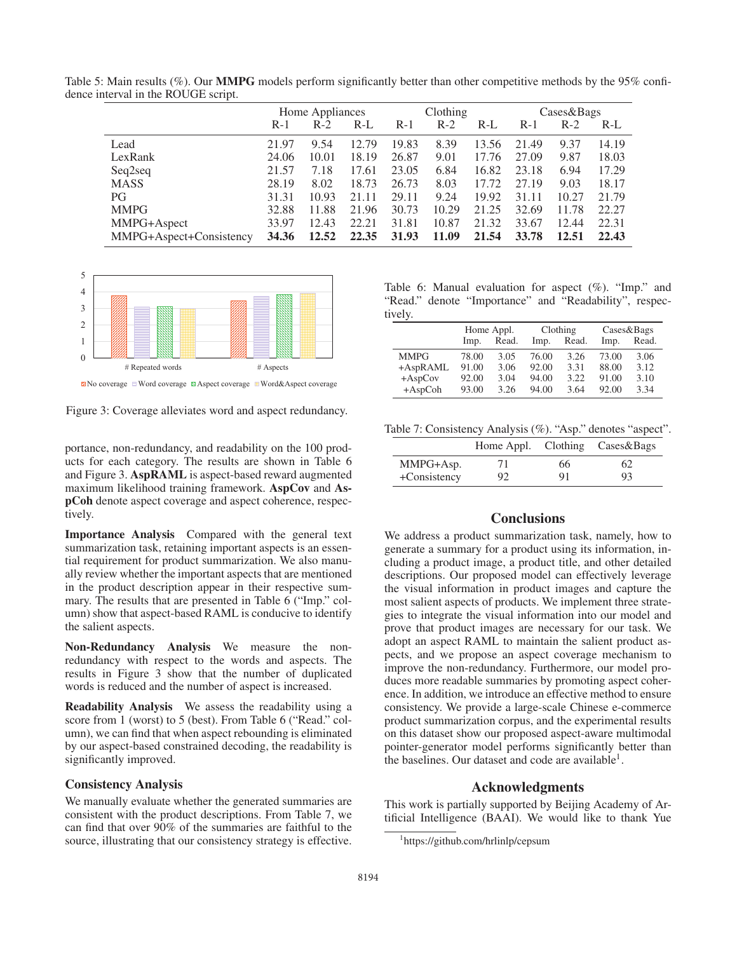|                         | Home Appliances |       | Clothing |       |       | Cases&Bags |       |       |       |
|-------------------------|-----------------|-------|----------|-------|-------|------------|-------|-------|-------|
|                         | $R-1$           | $R-2$ | $R-L$    | $R-1$ | $R-2$ | $R-L$      | $R-1$ | $R-2$ | $R-L$ |
| Lead                    | 21.97           | 9.54  | 12.79    | 19.83 | 8.39  | 13.56      | 21.49 | 9.37  | 14.19 |
| LexRank                 | 24.06           | 10.01 | 18.19    | 26.87 | 9.01  | 17.76      | 27.09 | 9.87  | 18.03 |
| Seq2seq                 | 21.57           | 7.18  | 17.61    | 23.05 | 6.84  | 16.82      | 23.18 | 6.94  | 17.29 |
| <b>MASS</b>             | 28.19           | 8.02  | 18.73    | 26.73 | 8.03  | 17.72      | 27.19 | 9.03  | 18.17 |
| PG                      | 31.31           | 10.93 | 21.11    | 29.11 | 9.24  | 19.92      | 31.11 | 10.27 | 21.79 |
| <b>MMPG</b>             | 32.88           | 11.88 | 21.96    | 30.73 | 10.29 | 21.25      | 32.69 | 11.78 | 22.27 |
| MMPG+Aspect             | 33.97           | 12.43 | 22.21    | 31.81 | 10.87 | 21.32      | 33.67 | 12.44 | 22.31 |
| MMPG+Aspect+Consistency | 34.36           | 12.52 | 22.35    | 31.93 | 11.09 | 21.54      | 33.78 | 12.51 | 22.43 |

Table 5: Main results (%). Our **MMPG** models perform significantly better than other competitive methods by the 95% confidence interval in the ROUGE script.



 $\boxtimes$  No coverage Word coverage  $\boxtimes$  Aspect coverage  $\boxplus$  Word&Aspect coverage

Figure 3: Coverage alleviates word and aspect redundancy.

portance, non-redundancy, and readability on the 100 products for each category. The results are shown in Table 6 and Figure 3. AspRAML is aspect-based reward augmented maximum likelihood training framework. AspCov and AspCoh denote aspect coverage and aspect coherence, respectively.

Importance Analysis Compared with the general text summarization task, retaining important aspects is an essential requirement for product summarization. We also manually review whether the important aspects that are mentioned in the product description appear in their respective summary. The results that are presented in Table 6 ("Imp." column) show that aspect-based RAML is conducive to identify the salient aspects.

Non-Redundancy Analysis We measure the nonredundancy with respect to the words and aspects. The results in Figure 3 show that the number of duplicated words is reduced and the number of aspect is increased.

Readability Analysis We assess the readability using a score from 1 (worst) to 5 (best). From Table 6 ("Read." column), we can find that when aspect rebounding is eliminated by our aspect-based constrained decoding, the readability is significantly improved.

# Consistency Analysis

We manually evaluate whether the generated summaries are consistent with the product descriptions. From Table 7, we can find that over 90% of the summaries are faithful to the source, illustrating that our consistency strategy is effective.

Table 6: Manual evaluation for aspect  $(\%)$ . "Imp." and "Read." denote "Importance" and "Readability", respectively.

|             | Home Appl. |       |       | Clothing | Cases&Bags |       |  |
|-------------|------------|-------|-------|----------|------------|-------|--|
|             | Imp.       | Read. | Imp.  | Read.    | Imp.       | Read. |  |
| <b>MMPG</b> | 78.00      | 3.05  | 76.00 | 3.26     | 73.00      | 3.06  |  |
| +AspRAML    | 91.00      | 3.06  | 92.00 | 3.31     | 88.00      | 3.12  |  |
| $+$ AspCov  | 92.00      | 3.04  | 94.00 | 3.22     | 91.00      | 3.10  |  |
| $+AspCoh$   | 93.00      | 3.26  | 94.00 | 3.64     | 92.00      | 3.34  |  |

Table 7: Consistency Analysis (%). "Asp." denotes "aspect".

|              |    |    | Home Appl. Clothing Cases & Bags |
|--------------|----|----|----------------------------------|
| MMPG+Asp.    | 71 | 66 | 62                               |
| +Consistency | 92 | 91 | 93                               |

# **Conclusions**

We address a product summarization task, namely, how to generate a summary for a product using its information, including a product image, a product title, and other detailed descriptions. Our proposed model can effectively leverage the visual information in product images and capture the most salient aspects of products. We implement three strategies to integrate the visual information into our model and prove that product images are necessary for our task. We adopt an aspect RAML to maintain the salient product aspects, and we propose an aspect coverage mechanism to improve the non-redundancy. Furthermore, our model produces more readable summaries by promoting aspect coherence. In addition, we introduce an effective method to ensure consistency. We provide a large-scale Chinese e-commerce product summarization corpus, and the experimental results on this dataset show our proposed aspect-aware multimodal pointer-generator model performs significantly better than the baselines. Our dataset and code are available<sup>1</sup>.

# Acknowledgments

This work is partially supported by Beijing Academy of Artificial Intelligence (BAAI). We would like to thank Yue

<sup>1</sup> https://github.com/hrlinlp/cepsum